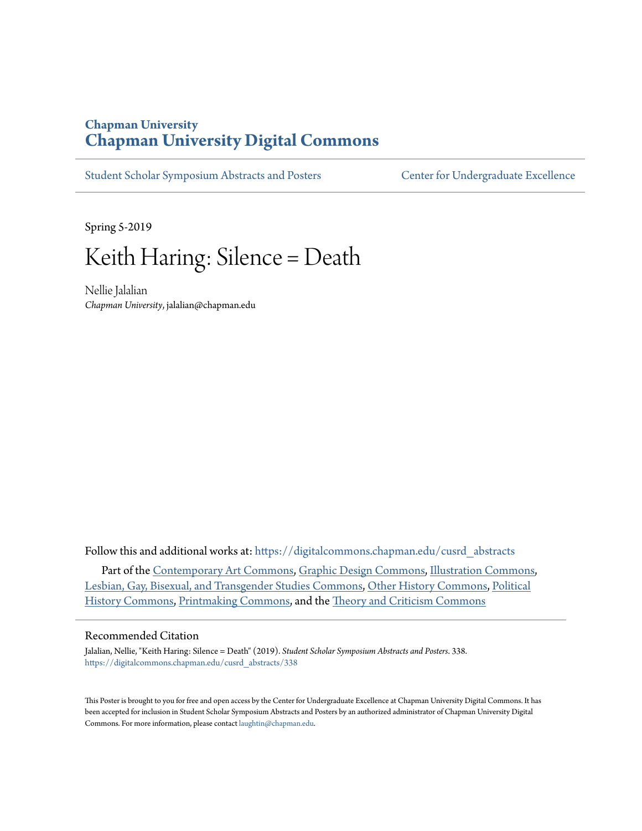### **Chapman University [Chapman University Digital Commons](https://digitalcommons.chapman.edu?utm_source=digitalcommons.chapman.edu%2Fcusrd_abstracts%2F338&utm_medium=PDF&utm_campaign=PDFCoverPages)**

[Student Scholar Symposium Abstracts and Posters](https://digitalcommons.chapman.edu/cusrd_abstracts?utm_source=digitalcommons.chapman.edu%2Fcusrd_abstracts%2F338&utm_medium=PDF&utm_campaign=PDFCoverPages) [Center for Undergraduate Excellence](https://digitalcommons.chapman.edu/cue?utm_source=digitalcommons.chapman.edu%2Fcusrd_abstracts%2F338&utm_medium=PDF&utm_campaign=PDFCoverPages)

Spring 5-2019

### Keith Haring: Silence = Death

Nellie Jalalian *Chapman University*, jalalian@chapman.edu

Follow this and additional works at: [https://digitalcommons.chapman.edu/cusrd\\_abstracts](https://digitalcommons.chapman.edu/cusrd_abstracts?utm_source=digitalcommons.chapman.edu%2Fcusrd_abstracts%2F338&utm_medium=PDF&utm_campaign=PDFCoverPages)

Part of the [Contemporary Art Commons](http://network.bepress.com/hgg/discipline/514?utm_source=digitalcommons.chapman.edu%2Fcusrd_abstracts%2F338&utm_medium=PDF&utm_campaign=PDFCoverPages), [Graphic Design Commons](http://network.bepress.com/hgg/discipline/1134?utm_source=digitalcommons.chapman.edu%2Fcusrd_abstracts%2F338&utm_medium=PDF&utm_campaign=PDFCoverPages), [Illustration Commons](http://network.bepress.com/hgg/discipline/1135?utm_source=digitalcommons.chapman.edu%2Fcusrd_abstracts%2F338&utm_medium=PDF&utm_campaign=PDFCoverPages), [Lesbian, Gay, Bisexual, and Transgender Studies Commons,](http://network.bepress.com/hgg/discipline/560?utm_source=digitalcommons.chapman.edu%2Fcusrd_abstracts%2F338&utm_medium=PDF&utm_campaign=PDFCoverPages) [Other History Commons,](http://network.bepress.com/hgg/discipline/508?utm_source=digitalcommons.chapman.edu%2Fcusrd_abstracts%2F338&utm_medium=PDF&utm_campaign=PDFCoverPages) [Political](http://network.bepress.com/hgg/discipline/505?utm_source=digitalcommons.chapman.edu%2Fcusrd_abstracts%2F338&utm_medium=PDF&utm_campaign=PDFCoverPages) [History Commons,](http://network.bepress.com/hgg/discipline/505?utm_source=digitalcommons.chapman.edu%2Fcusrd_abstracts%2F338&utm_medium=PDF&utm_campaign=PDFCoverPages) [Printmaking Commons,](http://network.bepress.com/hgg/discipline/1340?utm_source=digitalcommons.chapman.edu%2Fcusrd_abstracts%2F338&utm_medium=PDF&utm_campaign=PDFCoverPages) and the [Theory and Criticism Commons](http://network.bepress.com/hgg/discipline/516?utm_source=digitalcommons.chapman.edu%2Fcusrd_abstracts%2F338&utm_medium=PDF&utm_campaign=PDFCoverPages)

### Recommended Citation

Jalalian, Nellie, "Keith Haring: Silence = Death" (2019). *Student Scholar Symposium Abstracts and Posters*. 338. [https://digitalcommons.chapman.edu/cusrd\\_abstracts/338](https://digitalcommons.chapman.edu/cusrd_abstracts/338?utm_source=digitalcommons.chapman.edu%2Fcusrd_abstracts%2F338&utm_medium=PDF&utm_campaign=PDFCoverPages)

This Poster is brought to you for free and open access by the Center for Undergraduate Excellence at Chapman University Digital Commons. It has been accepted for inclusion in Student Scholar Symposium Abstracts and Posters by an authorized administrator of Chapman University Digital Commons. For more information, please contact [laughtin@chapman.edu](mailto:laughtin@chapman.edu).